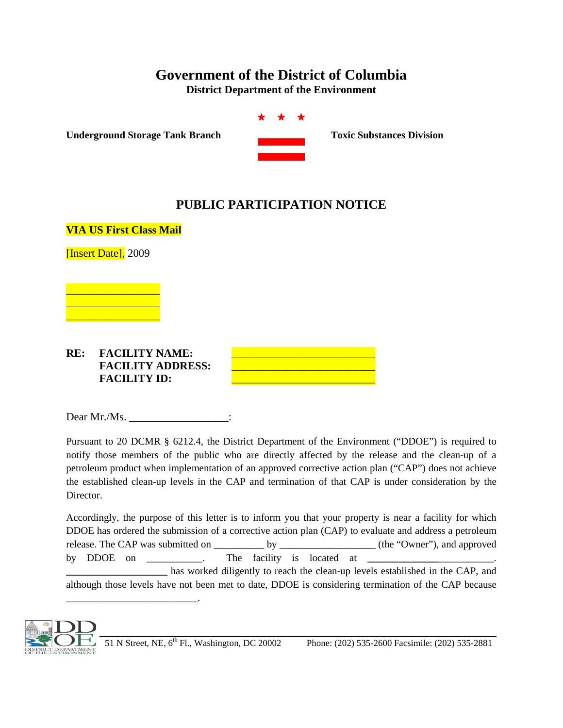## **Government of the District of Columbia**

**District Department of the Environment**



**Underground Storage Tank Branch Toxic Substances Division** 

## **PUBLIC PARTICIPATION NOTICE**

**VIA US First Class Mail**

[Insert Date], 2009



## RE: FACILITY NAME: **FACILITY ADDRESS:** \_\_\_\_\_\_\_\_\_\_\_\_\_\_\_\_\_\_\_\_\_\_\_\_\_\_ **FACILITY ID:** \_\_\_\_\_\_\_\_\_\_\_\_\_\_\_\_\_\_\_\_\_\_\_\_\_\_

\_\_\_\_\_\_\_\_\_\_\_\_\_\_\_\_\_\_\_\_\_\_\_\_\_\_.

Dear Mr./Ms. \_\_\_\_\_\_\_\_\_\_\_\_\_\_\_\_\_\_\_\_\_\_\_:

Pursuant to 20 DCMR § 6212.4, the District Department of the Environment ("DDOE") is required to notify those members of the public who are directly affected by the release and the clean-up of a petroleum product when implementation of an approved corrective action plan ("CAP") does not achieve the established clean-up levels in the CAP and termination of that CAP is under consideration by the Director.

Accordingly, the purpose of this letter is to inform you that your property is near a facility for which DDOE has ordered the submission of a corrective action plan (CAP) to evaluate and address a petroleum release. The CAP was submitted on \_\_\_\_\_\_\_\_\_\_ by \_\_\_\_\_\_\_\_\_\_\_\_\_\_\_\_\_\_\_ (the "Owner"), and approved by DDOE on  $\qquad \qquad$  The facility is located at **\_\_\_\_\_\_\_\_\_\_\_\_\_\_\_\_\_\_\_\_** has worked diligently to reach the clean-up levels established in the CAP, and although those levels have not been met to date, DDOE is considering termination of the CAP because